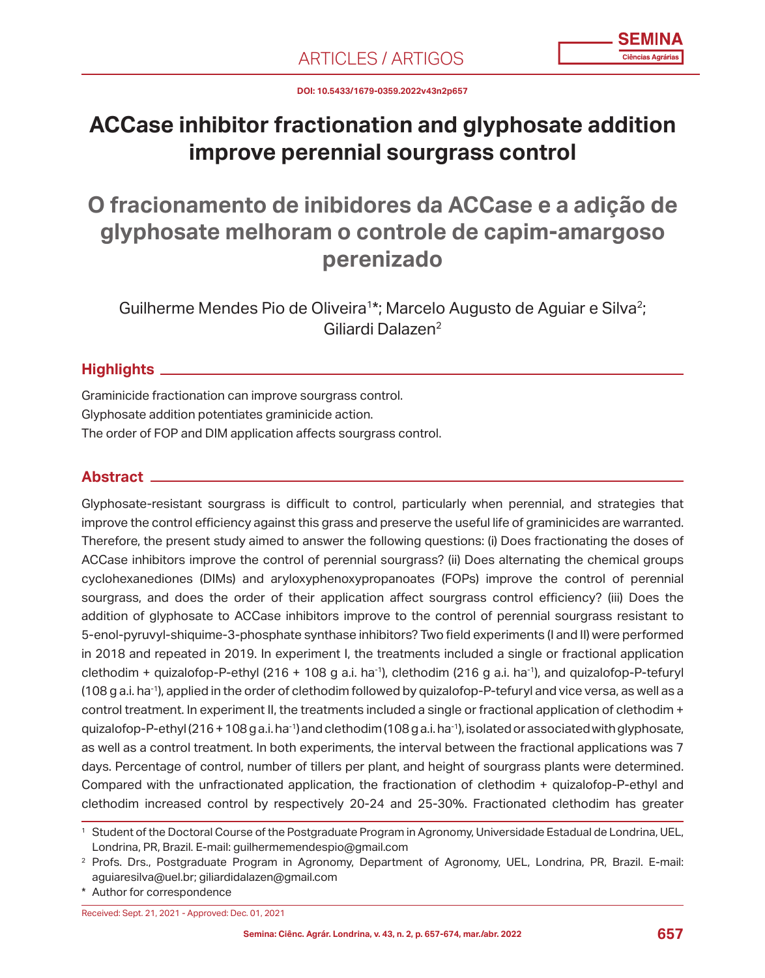**DOI: 10.5433/1679-0359.2022v43n2p657**

# **ACCase inhibitor fractionation and glyphosate addition improve perennial sourgrass control**

**O fracionamento de inibidores da ACCase e a adição de glyphosate melhoram o controle de capim-amargoso perenizado**

Guilherme Mendes Pio de Oliveira<sup>1\*</sup>; Marcelo Augusto de Aguiar e Silva<sup>2</sup>; Giliardi Dalazen2

# **Highlights**

Graminicide fractionation can improve sourgrass control. Glyphosate addition potentiates graminicide action. The order of FOP and DIM application affects sourgrass control.

# **Abstract**

Glyphosate-resistant sourgrass is difficult to control, particularly when perennial, and strategies that improve the control efficiency against this grass and preserve the useful life of graminicides are warranted. Therefore, the present study aimed to answer the following questions: (i) Does fractionating the doses of ACCase inhibitors improve the control of perennial sourgrass? (ii) Does alternating the chemical groups cyclohexanediones (DIMs) and aryloxyphenoxypropanoates (FOPs) improve the control of perennial sourgrass, and does the order of their application affect sourgrass control efficiency? (iii) Does the addition of glyphosate to ACCase inhibitors improve to the control of perennial sourgrass resistant to 5-enol-pyruvyl-shiquime-3-phosphate synthase inhibitors? Two field experiments (I and II) were performed in 2018 and repeated in 2019. In experiment I, the treatments included a single or fractional application clethodim + quizalofop-P-ethyl (216 + 108 g a.i. ha-1), clethodim (216 g a.i. ha-1), and quizalofop-P-tefuryl (108 g a.i. ha-1), applied in the order of clethodim followed by quizalofop-P-tefuryl and vice versa, as well as a control treatment. In experiment II, the treatments included a single or fractional application of clethodim + quizalofop-P-ethyl (216 + 108 g a.i. ha<sup>-1</sup>) and clethodim (108 g a.i. ha<sup>-1</sup>), isolated or associated with glyphosate, as well as a control treatment. In both experiments, the interval between the fractional applications was 7 days. Percentage of control, number of tillers per plant, and height of sourgrass plants were determined. Compared with the unfractionated application, the fractionation of clethodim + quizalofop-P-ethyl and clethodim increased control by respectively 20-24 and 25-30%. Fractionated clethodim has greater

Received: Sept. 21, 2021 - Approved: Dec. 01, 2021

<sup>1</sup> Student of the Doctoral Course of the Postgraduate Program in Agronomy, Universidade Estadual de Londrina, UEL, Londrina, PR, Brazil. E-mail: guilhermemendespio@gmail.com

<sup>2</sup> Profs. Drs., Postgraduate Program in Agronomy, Department of Agronomy, UEL, Londrina, PR, Brazil. E-mail: aguiaresilva@uel.br; giliardidalazen@gmail.com

<sup>\*</sup> Author for correspondence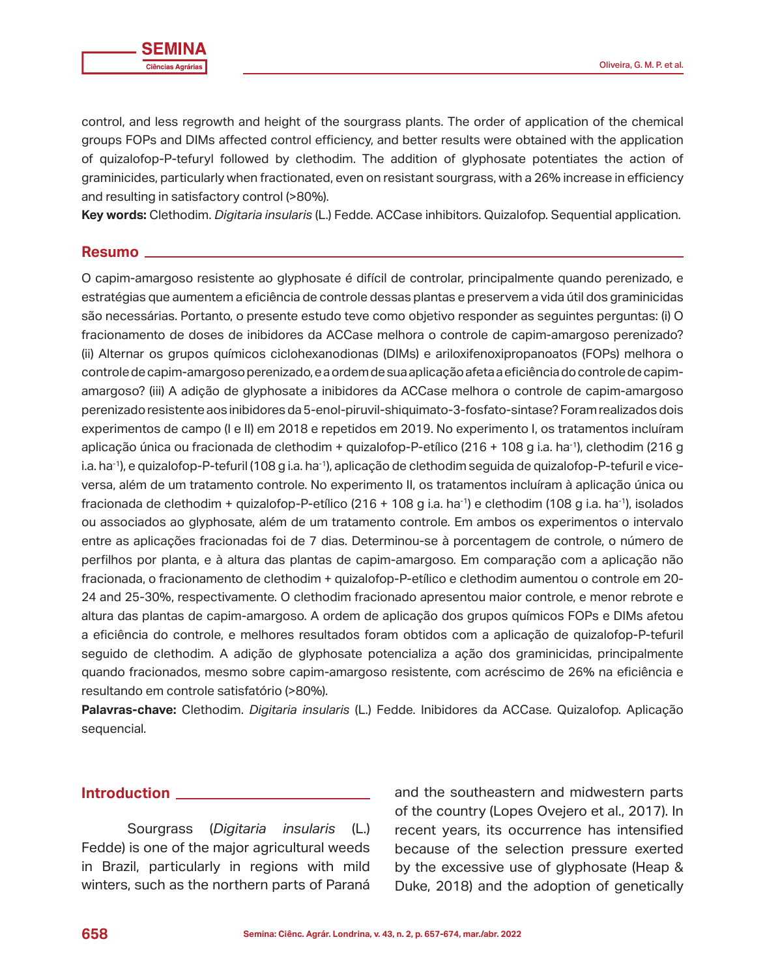control, and less regrowth and height of the sourgrass plants. The order of application of the chemical groups FOPs and DIMs affected control efficiency, and better results were obtained with the application of quizalofop-P-tefuryl followed by clethodim. The addition of glyphosate potentiates the action of graminicides, particularly when fractionated, even on resistant sourgrass, with a 26% increase in efficiency and resulting in satisfactory control (>80%).

**Key words:** Clethodim. *Digitaria insularis* (L.) Fedde. ACCase inhibitors. Quizalofop. Sequential application*.*

#### **Resumo**

O capim-amargoso resistente ao glyphosate é difícil de controlar, principalmente quando perenizado, e estratégias que aumentem a eficiência de controle dessas plantas e preservem a vida útil dos graminicidas são necessárias. Portanto, o presente estudo teve como objetivo responder as seguintes perguntas: (i) O fracionamento de doses de inibidores da ACCase melhora o controle de capim-amargoso perenizado? (ii) Alternar os grupos químicos ciclohexanodionas (DIMs) e ariloxifenoxipropanoatos (FOPs) melhora o controle de capim-amargoso perenizado, e a ordem de sua aplicação afeta a eficiência do controle de capimamargoso? (iii) A adição de glyphosate a inibidores da ACCase melhora o controle de capim-amargoso perenizado resistente aos inibidores da 5-enol-piruvil-shiquimato-3-fosfato-sintase? Foram realizados dois experimentos de campo (I e II) em 2018 e repetidos em 2019. No experimento I, os tratamentos incluíram aplicação única ou fracionada de clethodim + quizalofop-P-etílico (216 + 108 g i.a. ha-1), clethodim (216 g i.a. ha-1), e quizalofop-P-tefuril (108 g i.a. ha-1), aplicação de clethodim seguida de quizalofop-P-tefuril e viceversa, além de um tratamento controle. No experimento II, os tratamentos incluíram à aplicação única ou fracionada de clethodim + quizalofop-P-etílico (216 + 108 g i.a. ha<sup>-1</sup>) e clethodim (108 g i.a. ha<sup>-1</sup>), isolados ou associados ao glyphosate, além de um tratamento controle. Em ambos os experimentos o intervalo entre as aplicações fracionadas foi de 7 dias. Determinou-se à porcentagem de controle, o número de perfilhos por planta, e à altura das plantas de capim-amargoso. Em comparação com a aplicação não fracionada, o fracionamento de clethodim + quizalofop-P-etílico e clethodim aumentou o controle em 20- 24 and 25-30%, respectivamente. O clethodim fracionado apresentou maior controle, e menor rebrote e altura das plantas de capim-amargoso. A ordem de aplicação dos grupos químicos FOPs e DIMs afetou a eficiência do controle, e melhores resultados foram obtidos com a aplicação de quizalofop-P-tefuril seguido de clethodim. A adição de glyphosate potencializa a ação dos graminicidas, principalmente quando fracionados, mesmo sobre capim-amargoso resistente, com acréscimo de 26% na eficiência e resultando em controle satisfatório (>80%).

**Palavras-chave:** Clethodim. *Digitaria insularis* (L.) Fedde. Inibidores da ACCase. Quizalofop. Aplicação sequencial*.*

## **Introduction**

Sourgrass (*Digitaria insularis* (L.) Fedde) is one of the major agricultural weeds in Brazil, particularly in regions with mild winters, such as the northern parts of Paraná

and the southeastern and midwestern parts of the country (Lopes Ovejero et al., 2017). In recent years, its occurrence has intensified because of the selection pressure exerted by the excessive use of glyphosate (Heap & Duke, 2018) and the adoption of genetically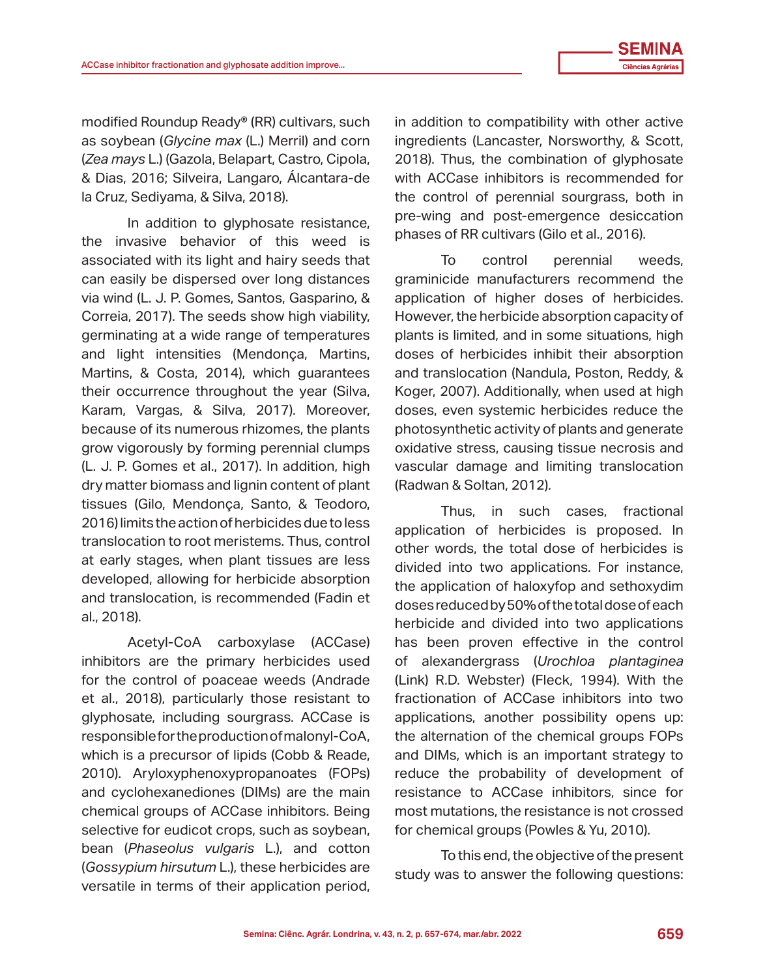modified Roundup Ready® (RR) cultivars, such as soybean (*Glycine max* (L.) Merril) and corn (*Zea mays* L.) (Gazola, Belapart, Castro, Cipola, & Dias, 2016; Silveira, Langaro, Álcantara-de la Cruz, Sediyama, & Silva, 2018).

In addition to glyphosate resistance, the invasive behavior of this weed is associated with its light and hairy seeds that can easily be dispersed over long distances via wind (L. J. P. Gomes, Santos, Gasparino, & Correia, 2017). The seeds show high viability, germinating at a wide range of temperatures and light intensities (Mendonça, Martins, Martins, & Costa, 2014), which guarantees their occurrence throughout the year (Silva, Karam, Vargas, & Silva, 2017). Moreover, because of its numerous rhizomes, the plants grow vigorously by forming perennial clumps (L. J. P. Gomes et al., 2017). In addition, high dry matter biomass and lignin content of plant tissues (Gilo, Mendonça, Santo, & Teodoro, 2016) limits the action of herbicides due to less translocation to root meristems. Thus, control at early stages, when plant tissues are less developed, allowing for herbicide absorption and translocation, is recommended (Fadin et al., 2018).

Acetyl-CoA carboxylase (ACCase) inhibitors are the primary herbicides used for the control of poaceae weeds (Andrade et al., 2018), particularly those resistant to glyphosate, including sourgrass. ACCase is responsible for the production of malonyl-CoA, which is a precursor of lipids (Cobb & Reade, 2010). Aryloxyphenoxypropanoates (FOPs) and cyclohexanediones (DIMs) are the main chemical groups of ACCase inhibitors. Being selective for eudicot crops, such as soybean, bean (*Phaseolus vulgaris* L.), and cotton (*Gossypium hirsutum* L.), these herbicides are versatile in terms of their application period,

in addition to compatibility with other active ingredients (Lancaster, Norsworthy, & Scott, 2018). Thus, the combination of glyphosate with ACCase inhibitors is recommended for the control of perennial sourgrass, both in pre-wing and post-emergence desiccation phases of RR cultivars (Gilo et al., 2016).

To control perennial weeds, graminicide manufacturers recommend the application of higher doses of herbicides. However, the herbicide absorption capacity of plants is limited, and in some situations, high doses of herbicides inhibit their absorption and translocation (Nandula, Poston, Reddy, & Koger, 2007). Additionally, when used at high doses, even systemic herbicides reduce the photosynthetic activity of plants and generate oxidative stress, causing tissue necrosis and vascular damage and limiting translocation (Radwan & Soltan, 2012).

Thus, in such cases, fractional application of herbicides is proposed. In other words, the total dose of herbicides is divided into two applications. For instance, the application of haloxyfop and sethoxydim doses reduced by 50% of the total dose of each herbicide and divided into two applications has been proven effective in the control of alexandergrass (*Urochloa plantaginea* (Link) R.D. Webster) (Fleck, 1994). With the fractionation of ACCase inhibitors into two applications, another possibility opens up: the alternation of the chemical groups FOPs and DIMs, which is an important strategy to reduce the probability of development of resistance to ACCase inhibitors, since for most mutations, the resistance is not crossed for chemical groups (Powles & Yu, 2010).

To this end, the objective of the present study was to answer the following questions: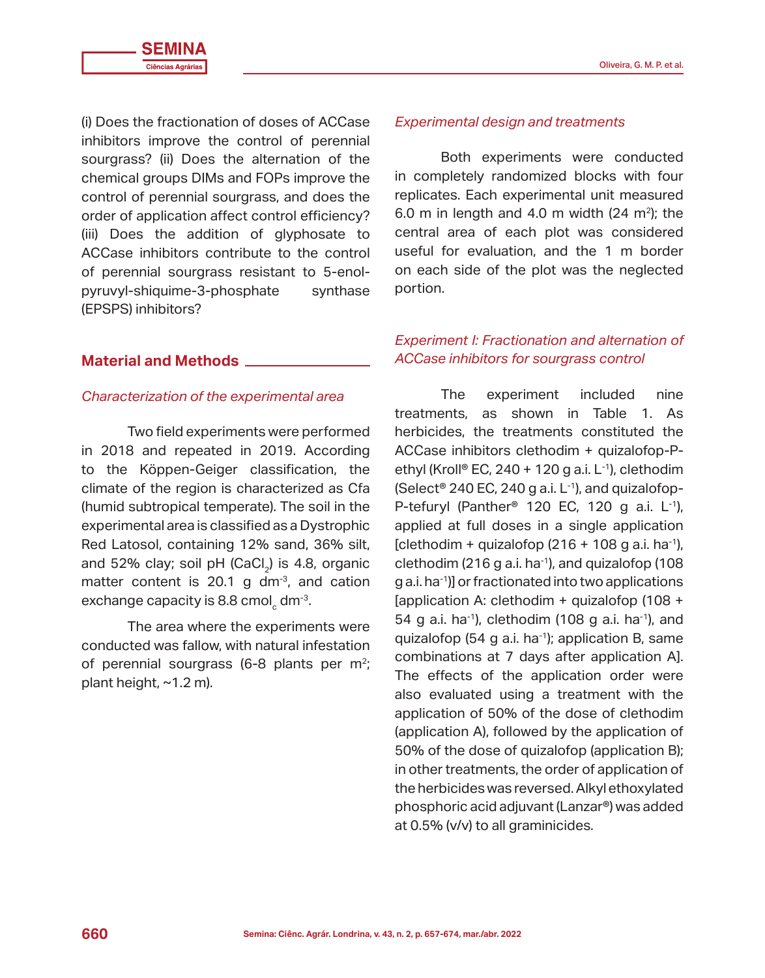(i) Does the fractionation of doses of ACCase inhibitors improve the control of perennial sourgrass? (ii) Does the alternation of the chemical groups DIMs and FOPs improve the control of perennial sourgrass, and does the order of application affect control efficiency? (iii) Does the addition of glyphosate to ACCase inhibitors contribute to the control of perennial sourgrass resistant to 5-enolpyruvyl-shiquime-3-phosphate synthase (EPSPS) inhibitors?

# **Material and Methods**

## *Characterization of the experimental area*

Two field experiments were performed in 2018 and repeated in 2019. According to the Köppen-Geiger classification, the climate of the region is characterized as Cfa (humid subtropical temperate). The soil in the experimental area is classified as a Dystrophic Red Latosol, containing 12% sand, 36% silt, and 52% clay; soil  $pH$  (CaCl<sub>2</sub>) is 4.8, organic matter content is 20.1 g  $dm^{-3}$ , and cation exchange capacity is 8.8 cmol $_{\textrm{\tiny{c}}}$  dm<sup>-3</sup>.

The area where the experiments were conducted was fallow, with natural infestation of perennial sourgrass (6-8 plants per  $m^2$ ; plant height, ~1.2 m).

#### *Experimental design and treatments*

Both experiments were conducted in completely randomized blocks with four replicates. Each experimental unit measured 6.0 m in length and 4.0 m width  $(24 \text{ m}^2)$ ; the central area of each plot was considered useful for evaluation, and the 1 m border on each side of the plot was the neglected portion.

# *Experiment I: Fractionation and alternation of ACCase inhibitors for sourgrass control*

The experiment included nine treatments, as shown in Table 1. As herbicides, the treatments constituted the ACCase inhibitors clethodim + quizalofop-Pethyl (Kroll<sup>®</sup> EC, 240 + 120 g a.i. L<sup>-1</sup>), clethodim (Select<sup>®</sup> 240 EC, 240 g a.i.  $L^{-1}$ ), and quizalofop-P-tefuryl (Panther<sup>®</sup> 120 EC, 120 g a.i.  $L^{-1}$ ), applied at full doses in a single application [clethodim + quizalofop  $(216 + 108$  g a.i. ha<sup>-1</sup>), clethodim (216 g a.i. ha<sup>-1</sup>), and quizalofop (108 g a.i. ha-1)] or fractionated into two applications [application A: clethodim + quizalofop (108 + 54 g a.i. ha<sup>-1</sup>), clethodim (108 g a.i. ha<sup>-1</sup>), and quizalofop (54 g a.i. ha $^{-1}$ ); application B, same combinations at 7 days after application A]. The effects of the application order were also evaluated using a treatment with the application of 50% of the dose of clethodim (application A), followed by the application of 50% of the dose of quizalofop (application B); in other treatments, the order of application of the herbicides was reversed. Alkyl ethoxylated phosphoric acid adjuvant (Lanzar®) was added at 0.5% (v/v) to all graminicides.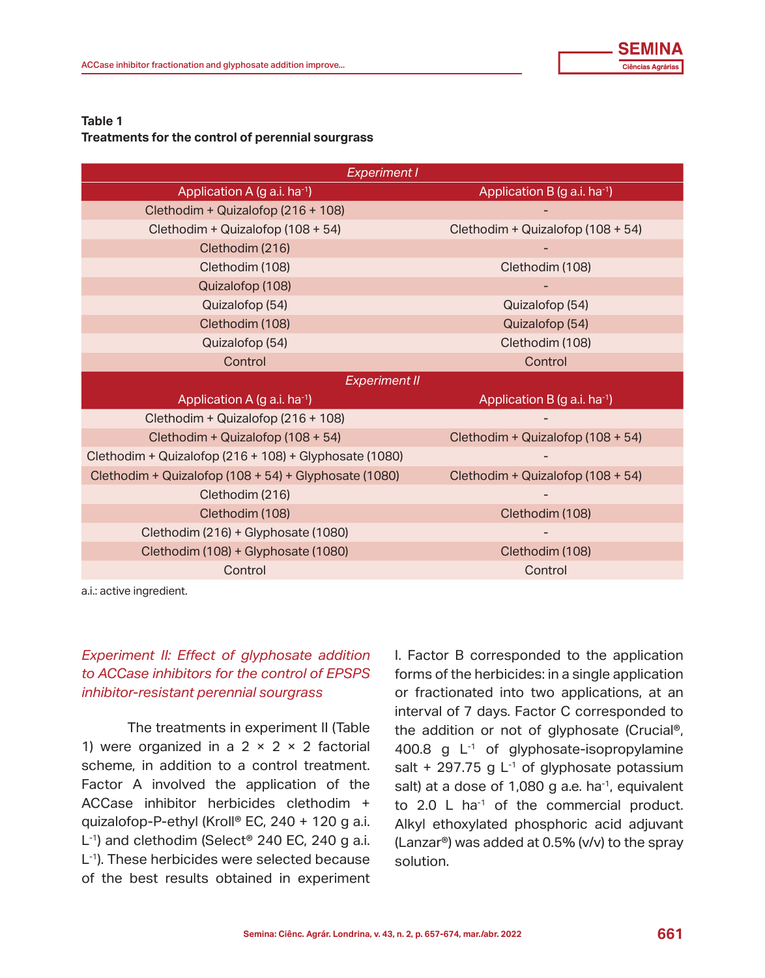#### **Table 1**

#### **Treatments for the control of perennial sourgrass**

| <b>Experiment I</b>                      |  |  |  |  |  |
|------------------------------------------|--|--|--|--|--|
| Application B (g a.i. ha-1)              |  |  |  |  |  |
|                                          |  |  |  |  |  |
| Clethodim + Quizalofop (108 + 54)        |  |  |  |  |  |
|                                          |  |  |  |  |  |
| Clethodim (108)                          |  |  |  |  |  |
|                                          |  |  |  |  |  |
| Quizalofop (54)                          |  |  |  |  |  |
| Quizalofop (54)                          |  |  |  |  |  |
| Clethodim (108)                          |  |  |  |  |  |
| Control                                  |  |  |  |  |  |
| <b>Experiment II</b>                     |  |  |  |  |  |
| Application B (g a.i. ha <sup>-1</sup> ) |  |  |  |  |  |
|                                          |  |  |  |  |  |
| Clethodim + Quizalofop (108 + 54)        |  |  |  |  |  |
|                                          |  |  |  |  |  |
| Clethodim + Quizalofop (108 + 54)        |  |  |  |  |  |
|                                          |  |  |  |  |  |
| Clethodim (108)                          |  |  |  |  |  |
|                                          |  |  |  |  |  |
| Clethodim (108)                          |  |  |  |  |  |
| Control                                  |  |  |  |  |  |
|                                          |  |  |  |  |  |

a.i.: active ingredient.

# *Experiment II: Effect of glyphosate addition to ACCase inhibitors for the control of EPSPS inhibitor-resistant perennial sourgrass*

The treatments in experiment II (Table 1) were organized in a  $2 \times 2 \times 2$  factorial scheme, in addition to a control treatment. Factor A involved the application of the ACCase inhibitor herbicides clethodim + quizalofop-P-ethyl (Kroll® EC, 240 + 120 g a.i. L<sup>-1</sup>) and clethodim (Select<sup>®</sup> 240 EC, 240 g a.i. L<sup>-1</sup>). These herbicides were selected because of the best results obtained in experiment I. Factor B corresponded to the application forms of the herbicides: in a single application or fractionated into two applications, at an interval of 7 days. Factor C corresponded to the addition or not of glyphosate (Crucial®, 400.8 g L<sup>-1</sup> of glyphosate-isopropylamine salt + 297.75 g  $L^{-1}$  of glyphosate potassium salt) at a dose of 1,080 g a.e. ha $^{-1}$ , equivalent to  $2.0$  L ha<sup>-1</sup> of the commercial product. Alkyl ethoxylated phosphoric acid adjuvant (Lanzar®) was added at 0.5% (v/v) to the spray solution.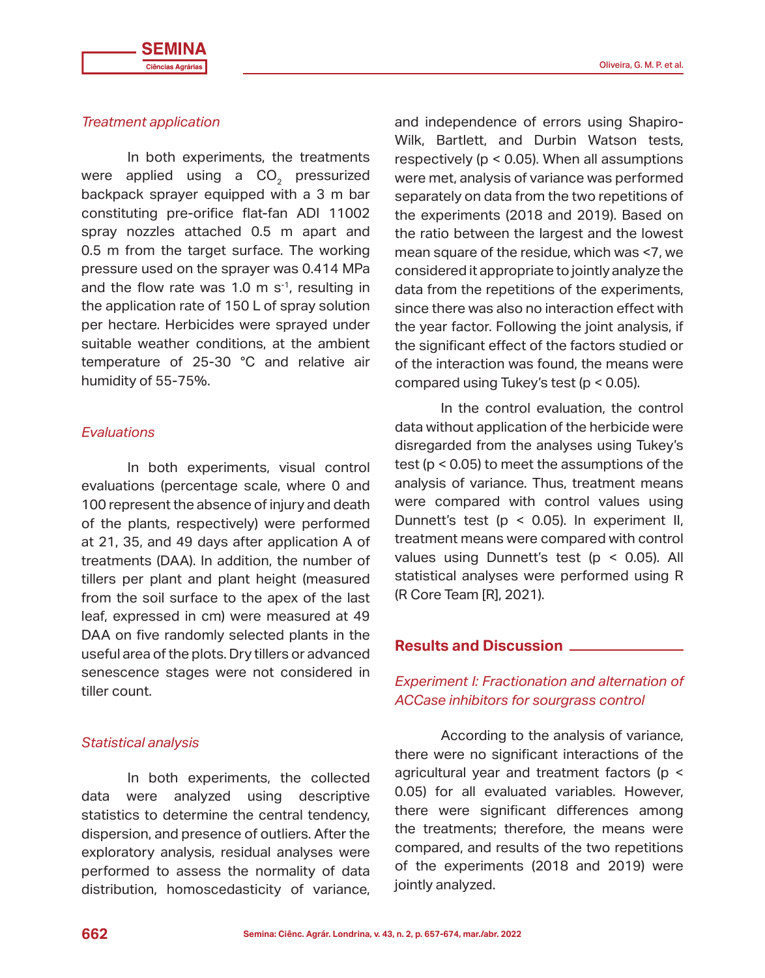# *Treatment application*

In both experiments, the treatments were applied using a CO<sub>2</sub> pressurized backpack sprayer equipped with a 3 m bar constituting pre-orifice flat-fan ADI 11002 spray nozzles attached 0.5 m apart and 0.5 m from the target surface. The working pressure used on the sprayer was 0.414 MPa and the flow rate was 1.0 m  $s^{-1}$ , resulting in the application rate of 150 L of spray solution per hectare. Herbicides were sprayed under suitable weather conditions, at the ambient temperature of 25-30 °C and relative air humidity of 55-75%.

# *Evaluations*

In both experiments, visual control evaluations (percentage scale, where 0 and 100 represent the absence of injury and death of the plants, respectively) were performed at 21, 35, and 49 days after application A of treatments (DAA). In addition, the number of tillers per plant and plant height (measured from the soil surface to the apex of the last leaf, expressed in cm) were measured at 49 DAA on five randomly selected plants in the useful area of the plots. Dry tillers or advanced senescence stages were not considered in tiller count.

## *Statistical analysis*

In both experiments, the collected data were analyzed using descriptive statistics to determine the central tendency, dispersion, and presence of outliers. After the exploratory analysis, residual analyses were performed to assess the normality of data distribution, homoscedasticity of variance,

and independence of errors using Shapiro-Wilk, Bartlett, and Durbin Watson tests, respectively (p < 0.05). When all assumptions were met, analysis of variance was performed separately on data from the two repetitions of the experiments (2018 and 2019). Based on the ratio between the largest and the lowest mean square of the residue, which was <7, we considered it appropriate to jointly analyze the data from the repetitions of the experiments, since there was also no interaction effect with the year factor. Following the joint analysis, if the significant effect of the factors studied or of the interaction was found, the means were compared using Tukey's test (p < 0.05).

In the control evaluation, the control data without application of the herbicide were disregarded from the analyses using Tukey's test (p < 0.05) to meet the assumptions of the analysis of variance. Thus, treatment means were compared with control values using Dunnett's test (p < 0.05). In experiment II, treatment means were compared with control values using Dunnett's test (p < 0.05). All statistical analyses were performed using R (R Core Team [R], 2021).

# **Results and Discussion**

# *Experiment I: Fractionation and alternation of ACCase inhibitors for sourgrass control*

According to the analysis of variance, there were no significant interactions of the agricultural year and treatment factors (p < 0.05) for all evaluated variables. However, there were significant differences among the treatments; therefore, the means were compared, and results of the two repetitions of the experiments (2018 and 2019) were jointly analyzed.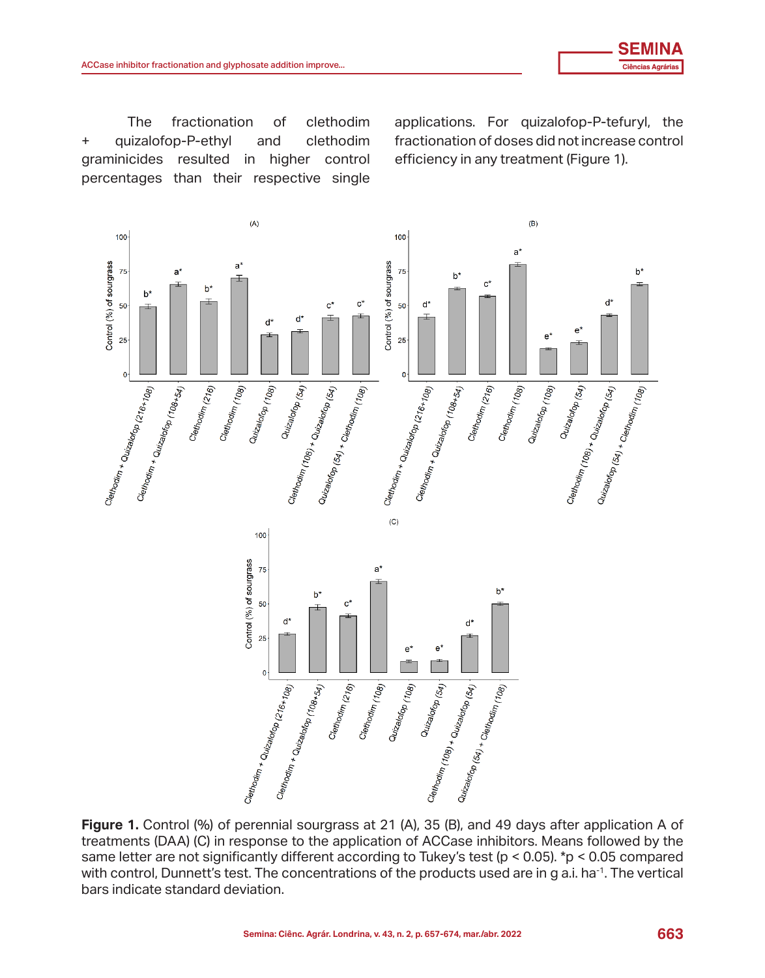The fractionation of clethodim + quizalofop-P-ethyl and clethodim graminicides resulted in higher control percentages than their respective single efficiency in any treatment of the series of than the series of than the series of the series of the fractions<br>control of the fractions of the fractions. The fraction of the fraction of the fraction of the fraction of the<br>

The fractionation of clethodim applications. For quizalofop-P-tefuryl, the fractionation of doses did not increase control



**Figure 1.** Control (%) of perennial sourgrass at 21 (A), 35 (B), and 49 days after application A of **Figure 1.** Control (%) of perennial sourgrass at 21 (A), 35 (B), and 45 days after application A of treatments (DAA) (C) in response to the application of ACCase inhibitors. Means followed by the same letter are not significantly different according to Tukey's test (p < 0.05). \*p < 0.05 compared with control, Dunnett's test. The concentrations of the products used are in g a.i. ha<sup>-1</sup>. The vertical bars indicate standard deviation.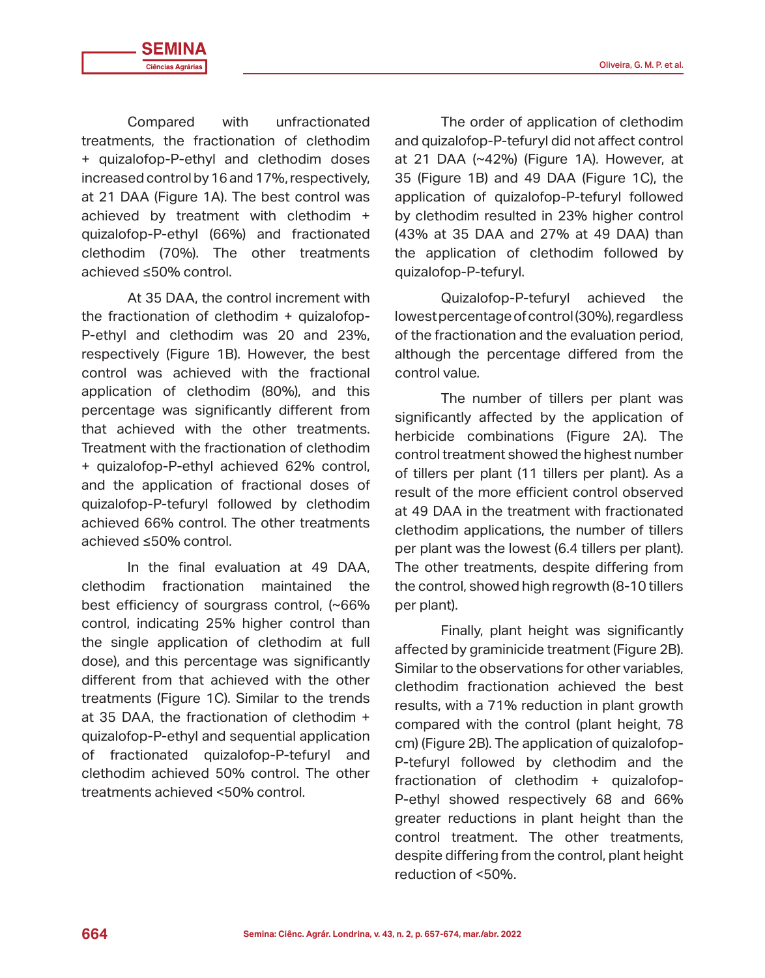Compared with unfractionated treatments, the fractionation of clethodim + quizalofop-P-ethyl and clethodim doses increased control by 16 and 17%, respectively, at 21 DAA (Figure 1A). The best control was achieved by treatment with clethodim + quizalofop-P-ethyl (66%) and fractionated clethodim (70%). The other treatments achieved ≤50% control.

At 35 DAA, the control increment with the fractionation of clethodim + quizalofop-P-ethyl and clethodim was 20 and 23%, respectively (Figure 1B). However, the best control was achieved with the fractional application of clethodim (80%), and this percentage was significantly different from that achieved with the other treatments. Treatment with the fractionation of clethodim + quizalofop-P-ethyl achieved 62% control, and the application of fractional doses of quizalofop-P-tefuryl followed by clethodim achieved 66% control. The other treatments achieved ≤50% control.

In the final evaluation at 49 DAA, clethodim fractionation maintained the best efficiency of sourgrass control, (~66% control, indicating 25% higher control than the single application of clethodim at full dose), and this percentage was significantly different from that achieved with the other treatments (Figure 1C). Similar to the trends at 35 DAA, the fractionation of clethodim + quizalofop-P-ethyl and sequential application of fractionated quizalofop-P-tefuryl and clethodim achieved 50% control. The other treatments achieved <50% control.

The order of application of clethodim and quizalofop-P-tefuryl did not affect control at 21 DAA (~42%) (Figure 1A). However, at 35 (Figure 1B) and 49 DAA (Figure 1C), the application of quizalofop-P-tefuryl followed by clethodim resulted in 23% higher control (43% at 35 DAA and 27% at 49 DAA) than the application of clethodim followed by quizalofop-P-tefuryl.

Quizalofop-P-tefuryl achieved the lowest percentage of control (30%), regardless of the fractionation and the evaluation period, although the percentage differed from the control value.

The number of tillers per plant was significantly affected by the application of herbicide combinations (Figure 2A). The control treatment showed the highest number of tillers per plant (11 tillers per plant). As a result of the more efficient control observed at 49 DAA in the treatment with fractionated clethodim applications, the number of tillers per plant was the lowest (6.4 tillers per plant). The other treatments, despite differing from the control, showed high regrowth (8-10 tillers per plant).

Finally, plant height was significantly affected by graminicide treatment (Figure 2B). Similar to the observations for other variables, clethodim fractionation achieved the best results, with a 71% reduction in plant growth compared with the control (plant height, 78 cm) (Figure 2B). The application of quizalofop-P-tefuryl followed by clethodim and the fractionation of clethodim + quizalofop-P-ethyl showed respectively 68 and 66% greater reductions in plant height than the control treatment. The other treatments, despite differing from the control, plant height reduction of <50%.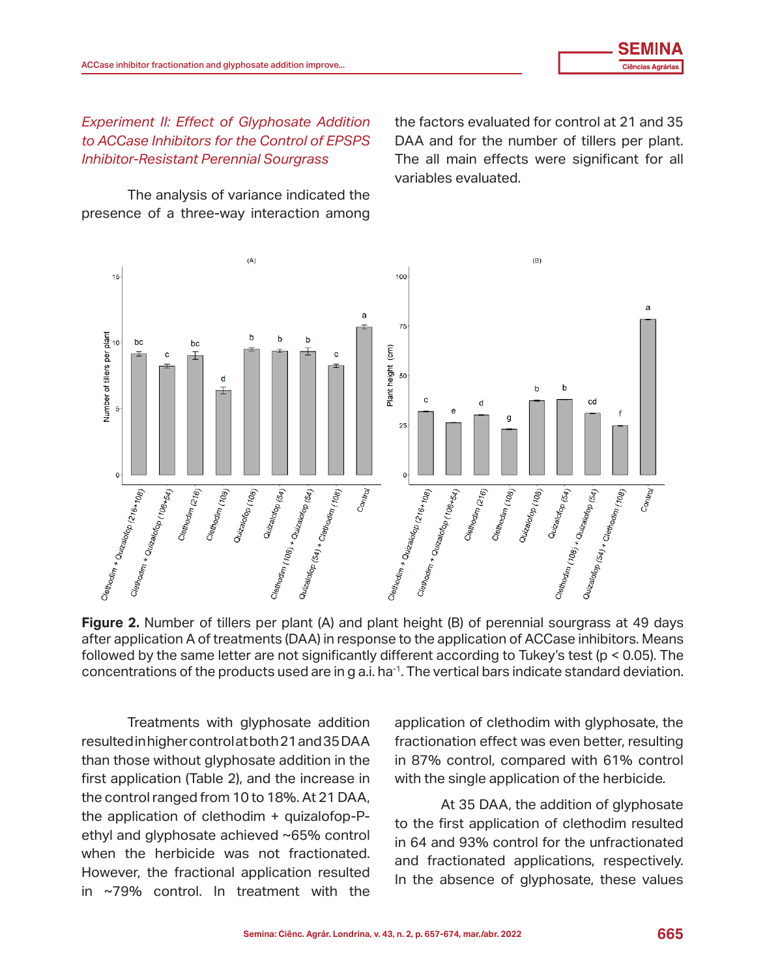*Experiment II: Effect of Glyphosate Addition to ACCase Inhibitors for the Control of EPSPS Inhibitor-Resistant Perennial Sourgrass*

The analysis of variance indicated the number of the number of tillers per plant. The analysis of variance indicated the presence of a three-way interaction among

the factors evaluated for control at 21 and 35 DAA and for the number of tillers per plant. The all main effects were significant for all variables evaluated.



**Figure 2.** Number of tillers per plant (A) and plant height (B) of perennial sourgrass at 49 days after application A of treatments (DAA) in response to the application of ACCase inhibitors. Means after approximation a comments (DAA) in response to the approximation of the case inhibitors. Means followed by the same letter are not significantly different according to Tukey's test (p < 0.05). The tend the same letter are not significantly different according to Tukey's test (p  $\sim$  0.05). The concentrations of the products used are in g a.i. ha<sup>-1</sup>. The vertical bars indicate standard deviation. concentrations or the products used are in g a.i. half. The vertical bar<br>.

Treatments with glyphosate addition resulted in higher control at both 21 and 35 DAA than those without glyphosate addition in the control, compared with 61% control first application (Table 2), and the increase in the control ranged from 10 to 18%. At 21 DAA,  $\overline{M}$  at 25 DAA, the addition of glyphosate ethyl and glyphosate achieved ~65% control when the herbicide was not fractionated. However, the fractional application resulted in ~79% control. In treatment with the in the absence of glyphosate, these values

reatments with glyphosate addition application of clethodim with glyphosate, the resulted in higher control at both 21 and 35 DAA  $\quad$  fractionation effect was even better, resulting in 87% control, compared with 61% control with the single application of the herbicide.

the application of clethodim + quizalofop-P-<br>to the first application of clethodim reculted  $\epsilon$  and givphosate achieved  $\sim$  55% control in 64 and 93% control for the unfractionated At 35 DAA, the addition of glyphosate to the first application of clethodim resulted in 64 and 93% and fractionated applications, respectively. At 35 DAA, the addition of glyphosate to the first application of clethodim resulted In the absence of glyphosate, these values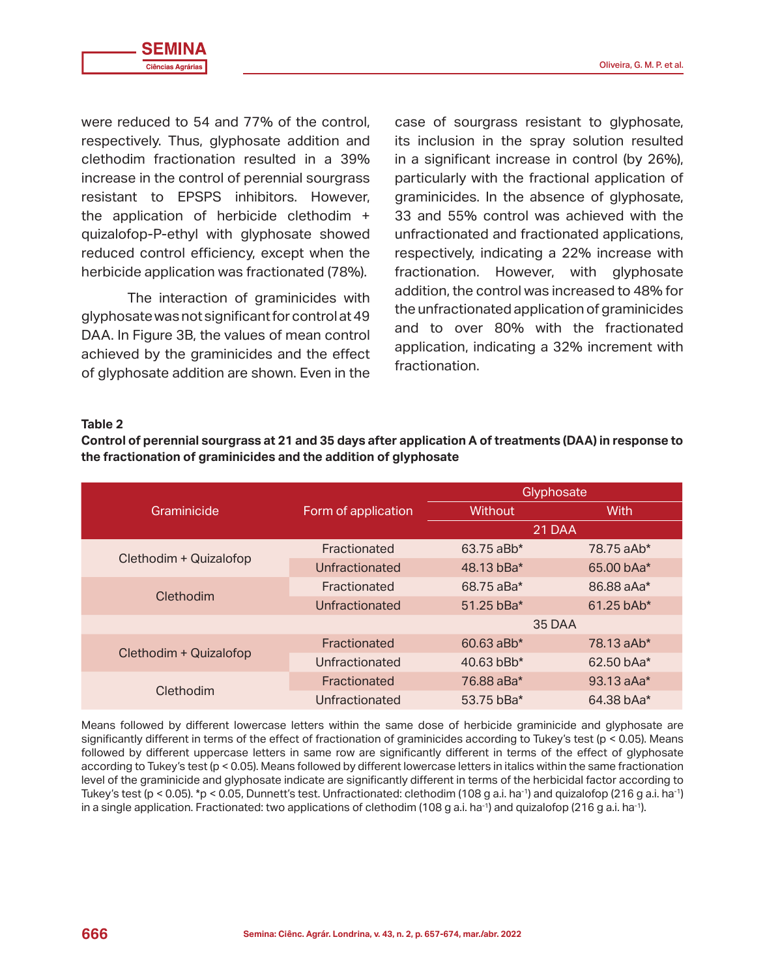were reduced to 54 and 77% of the control, respectively. Thus, glyphosate addition and clethodim fractionation resulted in a 39% increase in the control of perennial sourgrass resistant to EPSPS inhibitors. However, the application of herbicide clethodim + quizalofop-P-ethyl with glyphosate showed reduced control efficiency, except when the herbicide application was fractionated (78%).

The interaction of graminicides with glyphosate was not significant for control at 49 DAA. In Figure 3B, the values of mean control achieved by the graminicides and the effect of glyphosate addition are shown. Even in the

case of sourgrass resistant to glyphosate, its inclusion in the spray solution resulted in a significant increase in control (by 26%), particularly with the fractional application of graminicides. In the absence of glyphosate, 33 and 55% control was achieved with the unfractionated and fractionated applications, respectively, indicating a 22% increase with fractionation. However, with glyphosate addition, the control was increased to 48% for the unfractionated application of graminicides and to over 80% with the fractionated application, indicating a 32% increment with fractionation.

#### **Table 2**

**Control of perennial sourgrass at 21 and 35 days after application A of treatments (DAA) in response to the fractionation of graminicides and the addition of glyphosate**

|                        |                     | Glyphosate               |              |  |
|------------------------|---------------------|--------------------------|--------------|--|
| Graminicide            | Form of application | <b>Without</b>           | With         |  |
|                        |                     | 21 DAA                   |              |  |
| Clethodim + Quizalofop | Fractionated        | 63.75 aBb*               | 78.75 aAb*   |  |
|                        | Unfractionated      | 48.13 bBa*               | 65.00 bAa*   |  |
| Clethodim              | Fractionated        | 68.75 aBa*               | 86.88 aAa*   |  |
|                        | Unfractionated      | 51.25 bBa*               | $61.25$ bAb* |  |
|                        |                     | 35 DAA                   |              |  |
| Clethodim + Quizalofop | Fractionated        | $60.63$ aBb*             | $78.13$ aAb* |  |
|                        | Unfractionated      | $40.63$ bBb <sup>*</sup> | $62.50$ bAa* |  |
| Clethodim              | Fractionated        | 76.88 aBa*               | $93.13$ aAa* |  |
|                        | Unfractionated      | 53.75 bBa*               | 64.38 bAa*   |  |

Means followed by different lowercase letters within the same dose of herbicide graminicide and glyphosate are significantly different in terms of the effect of fractionation of graminicides according to Tukey's test (p < 0.05). Means followed by different uppercase letters in same row are significantly different in terms of the effect of glyphosate according to Tukey's test (p < 0.05). Means followed by different lowercase letters in italics within the same fractionation level of the graminicide and glyphosate indicate are significantly different in terms of the herbicidal factor according to Tukey's test (p < 0.05). \*p < 0.05, Dunnett's test. Unfractionated: clethodim (108 g a.i. ha<sup>-1</sup>) and quizalofop (216 g a.i. ha<sup>-1</sup>) in a single application. Fractionated: two applications of clethodim (108 g a.i. ha<sup>-1</sup>) and quizalofop (216 g a.i. ha<sup>-1</sup>).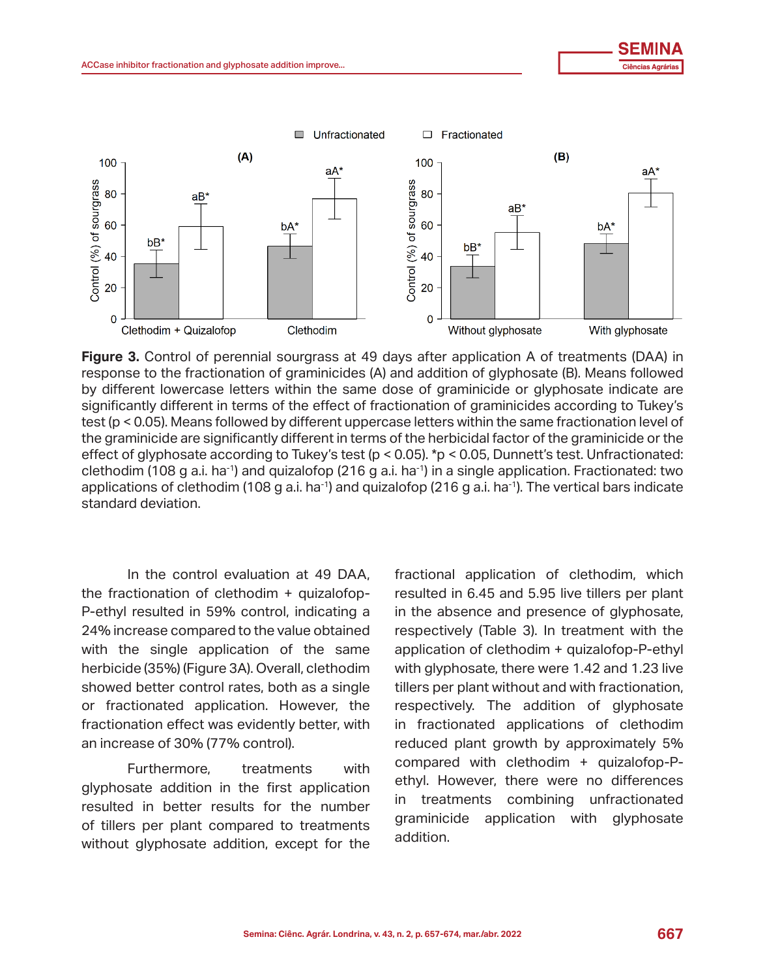quizalo format de la construcción de la construcción de la construcción de la construcción de la construcción de la construcción de la construcción de la construcción de la construcción de la construcción de la construcció



**Figure 3.** Control of perennial sourgrass at 49 days after application A of treatments (DAA) in **Figure 3.** Control of perennial society at 49 days after application A of discussive (B),  $\mu$ ,  $\mu$ ,  $\mu$  response to the fractionation of graminicides (A) and addition of glyphosate (B). Means followed the fractionation of grammatics, with a same of graminicide or glyphosate indicate are by different lowercase letters within the same dose of graminicide or glyphosate indicate are significantly different in terms of the effect of fractionation of graminicides according to Tukey's test (p < 0.05). Means followed by different uppercase letters within the same fractionation level of the graminicide are significantly different in terms of the herbicidal factor of the graminicide or the effect of glyphosate according to Tukey's test (p < 0.05). \*p < 0.05, Dunnett's test. Unfractionated: clethodim (108 g a.i. ha<sup>-1</sup>) and quizalofop (216 g a.i. ha<sup>-1</sup>) in a single application. Fractionated: two applications of clethodim (108 g a.i. ha<sup>-1</sup>) and quizalofop (216 g a.i. ha<sup>-1</sup>). The vertical bars indicate applications of clethodim (108 g a.i. ha<sup>-1</sup>) and quizalofop (216 g a.i. ha<sup>-1</sup>). The vertical bars indicate standard deviation.

In the control evaluation at 49 DAA, the fractionation of clethodim + quizalofop-P-ethyl resulted in 59% control, indicating a 24% increase compared to the value obtained with the single application of the same herbicide (35%) (Figure 3A). Overall, clethodim showed better control rates, both as a single or fractionated application. However, the fractionation effect was evidently better, with an increase of 30% (77% control).

Furthermore, treatments with glyphosate addition in the first application resulted in better results for the number of tillers per plant compared to treatments without glyphosate addition, except for the fractional application of clethodim, which resulted in 6.45 and 5.95 live tillers per plant in the absence and presence of glyphosate, respectively (Table 3). In treatment with the application of clethodim + quizalofop-P-ethyl with glyphosate, there were 1.42 and 1.23 live tillers per plant without and with fractionation, respectively. The addition of glyphosate in fractionated applications of clethodim reduced plant growth by approximately 5% compared with clethodim + quizalofop-Pethyl. However, there were no differences in treatments combining unfractionated graminicide application with glyphosate addition.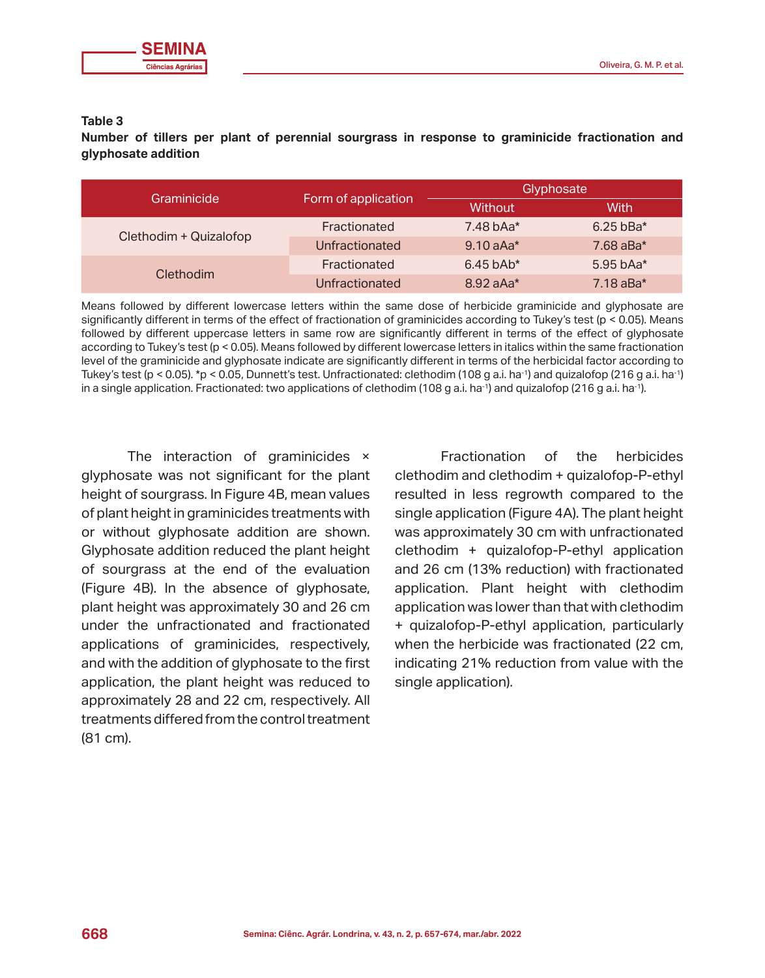# **Table 3**

**Number of tillers per plant of perennial sourgrass in response to graminicide fractionation and glyphosate addition**

| Graminicide            | Form of application | Glyphosate  |             |
|------------------------|---------------------|-------------|-------------|
|                        |                     | Without     | With        |
| Clethodim + Quizalofop | Fractionated        | $7.48$ bAa* | $6.25$ bBa* |
|                        | Unfractionated      | $9.10$ aAa* | $7.68$ aBa* |
| Clethodim              | Fractionated        | $6.45$ bAb* | 5.95 bAa*   |
|                        | Unfractionated      | $8.92$ aAa* | $7.18$ aBa* |

Means followed by different lowercase letters within the same dose of herbicide graminicide and glyphosate are significantly different in terms of the effect of fractionation of graminicides according to Tukey's test (p < 0.05). Means followed by different uppercase letters in same row are significantly different in terms of the effect of glyphosate according to Tukey's test (p < 0.05). Means followed by different lowercase letters in italics within the same fractionation level of the graminicide and glyphosate indicate are significantly different in terms of the herbicidal factor according to Tukey's test (p < 0.05). \*p < 0.05, Dunnett's test. Unfractionated: clethodim (108 g a.i. ha<sup>-1</sup>) and quizalofop (216 g a.i. ha<sup>-1</sup>) in a single application. Fractionated: two applications of clethodim (108 g a.i. ha<sup>-1</sup>) and quizalofop (216 g a.i. ha<sup>-1</sup>).

The interaction of graminicides × glyphosate was not significant for the plant height of sourgrass. In Figure 4B, mean values of plant height in graminicides treatments with or without glyphosate addition are shown. Glyphosate addition reduced the plant height of sourgrass at the end of the evaluation (Figure 4B). In the absence of glyphosate, plant height was approximately 30 and 26 cm under the unfractionated and fractionated applications of graminicides, respectively, and with the addition of glyphosate to the first application, the plant height was reduced to approximately 28 and 22 cm, respectively. All treatments differed from the control treatment (81 cm).

Fractionation of the herbicides clethodim and clethodim + quizalofop-P-ethyl resulted in less regrowth compared to the single application (Figure 4A). The plant height was approximately 30 cm with unfractionated clethodim + quizalofop-P-ethyl application and 26 cm (13% reduction) with fractionated application. Plant height with clethodim application was lower than that with clethodim + quizalofop-P-ethyl application, particularly when the herbicide was fractionated (22 cm, indicating 21% reduction from value with the single application).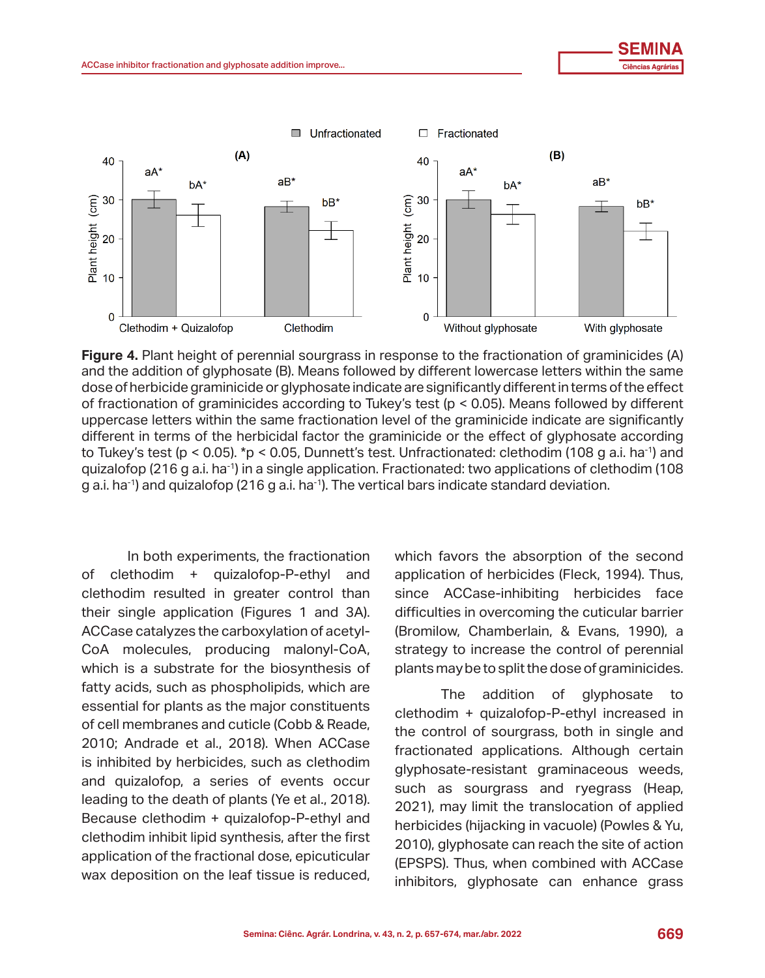

**Figure 4.** Plant height of perennial sourgrass in response to the fractionation of graminicides (A) and the addition of glyphosate (B). Means followed by different lowercase letters within the same dose of herbicide graminicide or glyphosate indicate are significantly different in terms of the effect of fractionation of graminicides according to Tukey's test (p < 0.05). Means followed by different uppercase letters within the same fractionation level of the graminicide indicate are significantly different in terms of the herbicidal factor the graminicide or the effect of glyphosate according to Tukey's test (p < 0.05). \*p < 0.05, Dunnett's test. Unfractionated: clethodim (108 g a.i. ha<sup>-1</sup>) and quizalofop (216 g a.i. ha<sup>-1</sup>) in a single application. Fractionated: two applications of clethodim (108 g a.i. ha<sup>-1</sup>) and quizalofop (216 g a.i. ha<sup>-1</sup>). The vertical bars indicate standard deviation.

In both experiments, the fractionation of clethodim + quizalofop-P-ethyl and application of herbicides (Fleck, 1994). Thus, clethodim resulted in greater control than since ACCase-inhibiting herbicides face their single application (Figures 1 and 3A). difficulties in overcoming the cuticular barrier ACCase catalyzes the carboxylation of acetyl-CoA molecules, producing malonyl-CoA, which is a substrate for the biosynthesis of fatty acids, such as phospholipids, which are essential for plants as the major constituents of cell membranes and cuticle (Cobb & Reade, 2010; Andrade et al., 2018). When ACCase and contract of bourgroof being manigle and is inhibited by herbicides, such as clethodim and quizalofop, a series of events occur  $\frac{d}{dt}$  denote the death of plants (Ye et al., 2018).  $\frac{d}{dt}$ Because clethodim + quizalofop-P-ethyl and addition in the dimension of application of the control of the control of source in the control of source in the control of source in the control of source in the control of sourc clethodim inhibit lipid synthesis, after the first application of the fractional dose, epicuticular wax deposition on the leaf tissue is reduced, Cobb etter, 2018). When Access is in the Readers of the Cobbine et al., when Access is increase the control of perennial which is a substrate for the biosynthesis of plants may be to split the dose of graminicides. ratty acids, such as phospholipids, which are first and the addition of glyphosate to essendar or plants as the major constituents clethodim + quizalofop-P-ethyl increased in is inhibited by herbicides, such as clethodim divphosate-resistant graminaceous weeds, clethodim inhibit lipid synthesis, after the first  $\qquad \qquad 2010$ ), glyphosate can reach the site of action application of the fractional dose, epicuticular (EPSPS). Thus, when combined with ACCase

which favors the absorption of the second application of herbicides (Fleck, 1994). Thus, since ACCase-inhibiting herbicides face difficulties in overcoming the cuticular barrier (Bromilow, Chamberlain, & Evans, 1990), a

wax deposition on the lear tissue is reduced, inhibitors, glyphosate can enhance grass the control of sourgrass, both in single and fractionated applications. Although certain such as sourgrass and ryegrass (Heap, 2021), may limit the translocation of applied herbicides (hijacking in vacuole) (Powles & Yu,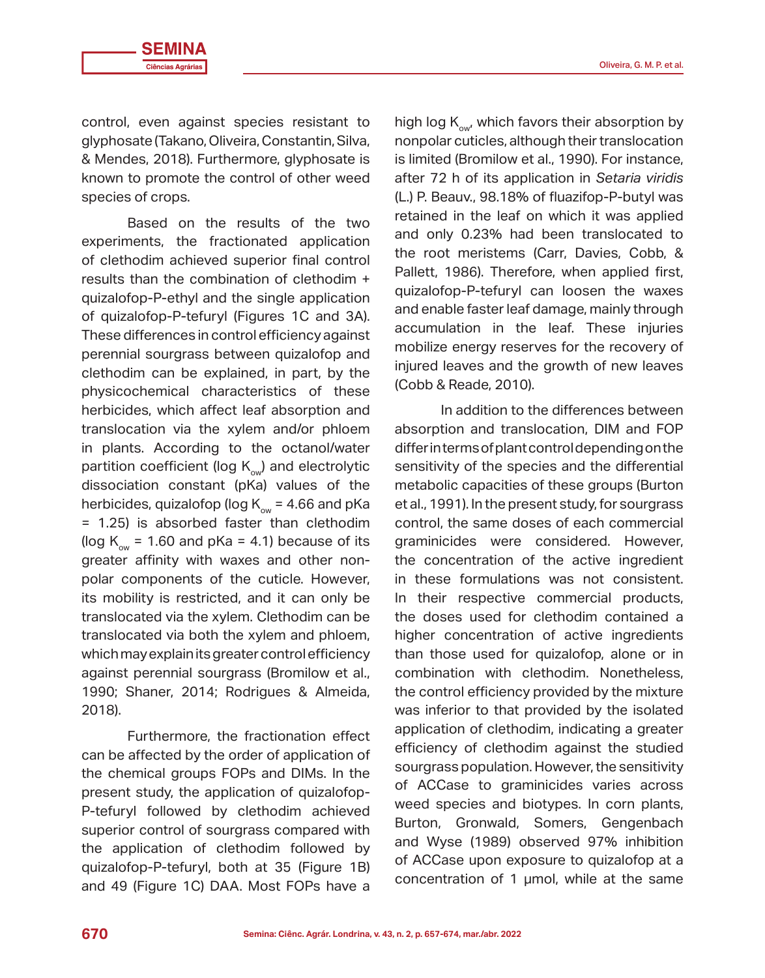control, even against species resistant to glyphosate (Takano, Oliveira, Constantin, Silva, & Mendes, 2018). Furthermore, glyphosate is known to promote the control of other weed species of crops.

Based on the results of the two experiments, the fractionated application of clethodim achieved superior final control results than the combination of clethodim + quizalofop-P-ethyl and the single application of quizalofop-P-tefuryl (Figures 1C and 3A). These differences in control efficiency against perennial sourgrass between quizalofop and clethodim can be explained, in part, by the physicochemical characteristics of these herbicides, which affect leaf absorption and translocation via the xylem and/or phloem in plants. According to the octanol/water partition coefficient (log  $K_{ov}$ ) and electrolytic dissociation constant (pKa) values of the herbicides, quizalofop (log  $K_{\infty}$  = 4.66 and pKa = 1.25) is absorbed faster than clethodim (log  $K_{\text{ow}}$  = 1.60 and pKa = 4.1) because of its greater affinity with waxes and other nonpolar components of the cuticle. However, its mobility is restricted, and it can only be translocated via the xylem. Clethodim can be translocated via both the xylem and phloem, which may explain its greater control efficiency against perennial sourgrass (Bromilow et al., 1990; Shaner, 2014; Rodrigues & Almeida, 2018).

Furthermore, the fractionation effect can be affected by the order of application of the chemical groups FOPs and DIMs. In the present study, the application of quizalofop-P-tefuryl followed by clethodim achieved superior control of sourgrass compared with the application of clethodim followed by quizalofop-P-tefuryl, both at 35 (Figure 1B) and 49 (Figure 1C) DAA. Most FOPs have a high log  $K_{\text{ow}}$ , which favors their absorption by nonpolar cuticles, although their translocation is limited (Bromilow et al., 1990). For instance, after 72 h of its application in *Setaria viridis* (L.) P. Beauv., 98.18% of fluazifop-P-butyl was retained in the leaf on which it was applied and only 0.23% had been translocated to the root meristems (Carr, Davies, Cobb, & Pallett, 1986). Therefore, when applied first, quizalofop-P-tefuryl can loosen the waxes and enable faster leaf damage, mainly through accumulation in the leaf. These injuries mobilize energy reserves for the recovery of injured leaves and the growth of new leaves (Cobb & Reade, 2010).

In addition to the differences between absorption and translocation, DIM and FOP differ in terms of plant control depending on the sensitivity of the species and the differential metabolic capacities of these groups (Burton et al., 1991). In the present study, for sourgrass control, the same doses of each commercial graminicides were considered. However, the concentration of the active ingredient in these formulations was not consistent. In their respective commercial products, the doses used for clethodim contained a higher concentration of active ingredients than those used for quizalofop, alone or in combination with clethodim. Nonetheless, the control efficiency provided by the mixture was inferior to that provided by the isolated application of clethodim, indicating a greater efficiency of clethodim against the studied sourgrass population. However, the sensitivity of ACCase to graminicides varies across weed species and biotypes. In corn plants, Burton, Gronwald, Somers, Gengenbach and Wyse (1989) observed 97% inhibition of ACCase upon exposure to quizalofop at a concentration of 1 µmol, while at the same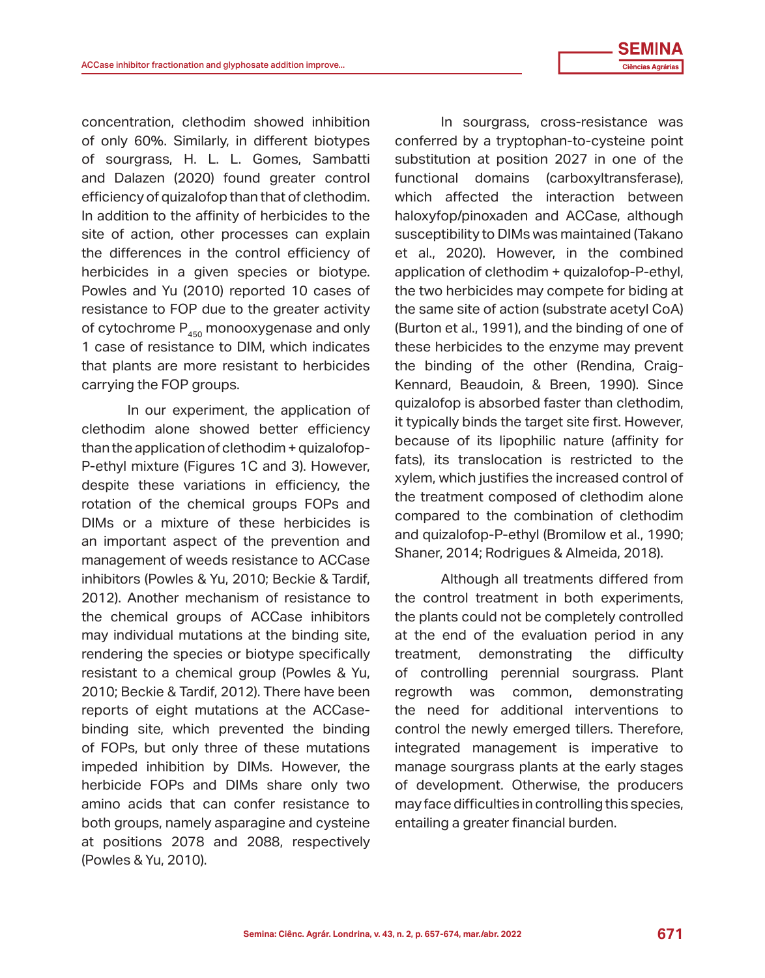concentration, clethodim showed inhibition of only 60%. Similarly, in different biotypes of sourgrass, H. L. L. Gomes, Sambatti and Dalazen (2020) found greater control efficiency of quizalofop than that of clethodim. In addition to the affinity of herbicides to the site of action, other processes can explain the differences in the control efficiency of herbicides in a given species or biotype. Powles and Yu (2010) reported 10 cases of resistance to FOP due to the greater activity of cytochrome  $P_{450}$  monooxygenase and only 1 case of resistance to DIM, which indicates that plants are more resistant to herbicides carrying the FOP groups.

In our experiment, the application of clethodim alone showed better efficiency than the application of clethodim + quizalofop-P-ethyl mixture (Figures 1C and 3). However, despite these variations in efficiency, the rotation of the chemical groups FOPs and DIMs or a mixture of these herbicides is an important aspect of the prevention and management of weeds resistance to ACCase inhibitors (Powles & Yu, 2010; Beckie & Tardif, 2012). Another mechanism of resistance to the chemical groups of ACCase inhibitors may individual mutations at the binding site, rendering the species or biotype specifically resistant to a chemical group (Powles & Yu, 2010; Beckie & Tardif, 2012). There have been reports of eight mutations at the ACCasebinding site, which prevented the binding of FOPs, but only three of these mutations impeded inhibition by DIMs. However, the herbicide FOPs and DIMs share only two amino acids that can confer resistance to both groups, namely asparagine and cysteine at positions 2078 and 2088, respectively (Powles & Yu, 2010).

In sourgrass, cross-resistance was conferred by a tryptophan-to-cysteine point substitution at position 2027 in one of the functional domains (carboxyltransferase), which affected the interaction between haloxyfop/pinoxaden and ACCase, although susceptibility to DIMs was maintained (Takano et al., 2020). However, in the combined application of clethodim + quizalofop-P-ethyl, the two herbicides may compete for biding at the same site of action (substrate acetyl CoA) (Burton et al., 1991), and the binding of one of these herbicides to the enzyme may prevent the binding of the other (Rendina, Craig-Kennard, Beaudoin, & Breen, 1990). Since quizalofop is absorbed faster than clethodim, it typically binds the target site first. However, because of its lipophilic nature (affinity for fats), its translocation is restricted to the xylem, which justifies the increased control of the treatment composed of clethodim alone compared to the combination of clethodim and quizalofop-P-ethyl (Bromilow et al., 1990; Shaner, 2014; Rodrigues & Almeida, 2018).

Although all treatments differed from the control treatment in both experiments, the plants could not be completely controlled at the end of the evaluation period in any treatment, demonstrating the difficulty of controlling perennial sourgrass. Plant regrowth was common, demonstrating the need for additional interventions to control the newly emerged tillers. Therefore, integrated management is imperative to manage sourgrass plants at the early stages of development. Otherwise, the producers may face difficulties in controlling this species, entailing a greater financial burden.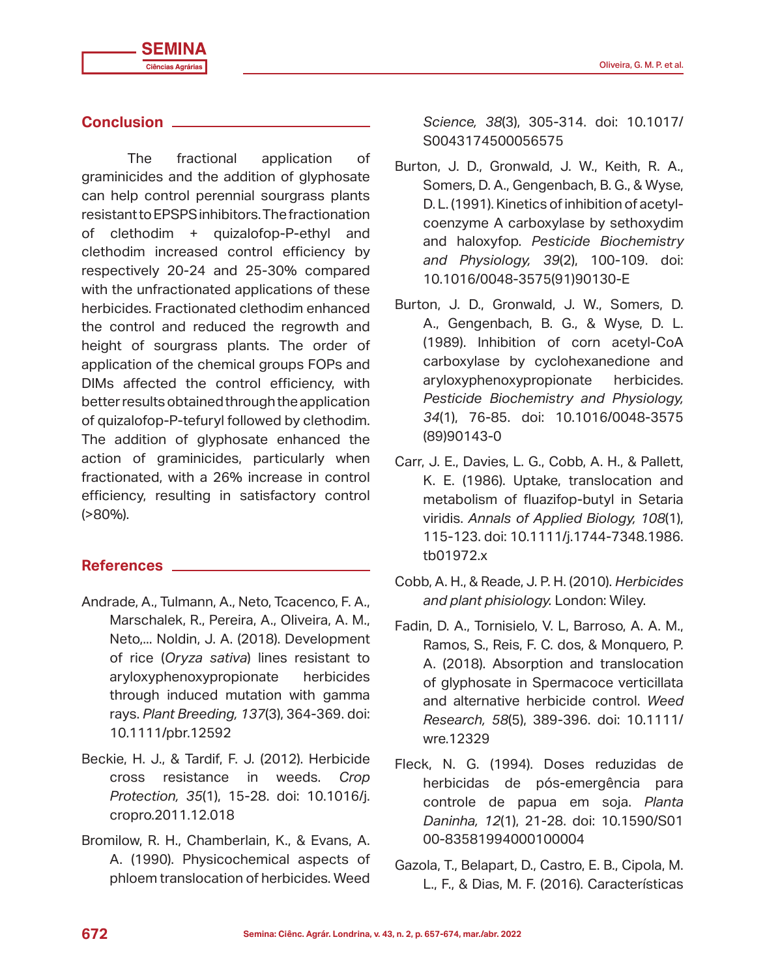#### **Conclusion**

The fractional application of graminicides and the addition of glyphosate can help control perennial sourgrass plants resistant to EPSPS inhibitors. The fractionation of clethodim + quizalofop-P-ethyl and clethodim increased control efficiency by respectively 20-24 and 25-30% compared with the unfractionated applications of these herbicides. Fractionated clethodim enhanced the control and reduced the regrowth and height of sourgrass plants. The order of application of the chemical groups FOPs and DIMs affected the control efficiency, with better results obtained through the application of quizalofop-P-tefuryl followed by clethodim. The addition of glyphosate enhanced the action of graminicides, particularly when fractionated, with a 26% increase in control efficiency, resulting in satisfactory control (>80%).

#### **References**

- Andrade, A., Tulmann, A., Neto, Tcacenco, F. A., Marschalek, R., Pereira, A., Oliveira, A. M., Neto,... Noldin, J. A. (2018). Development of rice (*Oryza sativa*) lines resistant to aryloxyphenoxypropionate herbicides through induced mutation with gamma rays. *Plant Breeding, 137*(3), 364-369. doi: 10.1111/pbr.12592
- Beckie, H. J., & Tardif, F. J. (2012). Herbicide cross resistance in weeds. *Crop Protection, 35*(1), 15-28. doi: 10.1016/j. cropro.2011.12.018
- Bromilow, R. H., Chamberlain, K., & Evans, A. A. (1990). Physicochemical aspects of phloem translocation of herbicides. Weed

*Science, 38*(3), 305-314. doi: 10.1017/ S0043174500056575

- Burton, J. D., Gronwald, J. W., Keith, R. A., Somers, D. A., Gengenbach, B. G., & Wyse, D. L. (1991). Kinetics of inhibition of acetylcoenzyme A carboxylase by sethoxydim and haloxyfop. *Pesticide Biochemistry and Physiology, 39*(2), 100-109. doi: 10.1016/0048-3575(91)90130-E
- Burton, J. D., Gronwald, J. W., Somers, D. A., Gengenbach, B. G., & Wyse, D. L. (1989). Inhibition of corn acetyl-CoA carboxylase by cyclohexanedione and aryloxyphenoxypropionate herbicides. *Pesticide Biochemistry and Physiology, 34*(1), 76-85. doi: 10.1016/0048-3575 (89)90143-0
- Carr, J. E., Davies, L. G., Cobb, A. H., & Pallett, K. E. (1986). Uptake, translocation and metabolism of fluazifop-butyl in Setaria viridis. *Annals of Applied Biology, 108*(1), 115-123. doi: 10.1111/j.1744-7348.1986. tb01972.x
- Cobb, A. H., & Reade, J. P. H. (2010). *Herbicides and plant phisiology.* London: Wiley.
- Fadin, D. A., Tornisielo, V. L, Barroso, A. A. M., Ramos, S., Reis, F. C. dos, & Monquero, P. A. (2018). Absorption and translocation of glyphosate in Spermacoce verticillata and alternative herbicide control. *Weed Research, 58*(5), 389-396. doi: 10.1111/ wre.12329
- Fleck, N. G. (1994). Doses reduzidas de herbicidas de pós-emergência para controle de papua em soja. *Planta Daninha, 12*(1), 21-28. doi: 10.1590/S01 00-83581994000100004
- Gazola, T., Belapart, D., Castro, E. B., Cipola, M. L., F., & Dias, M. F. (2016). Características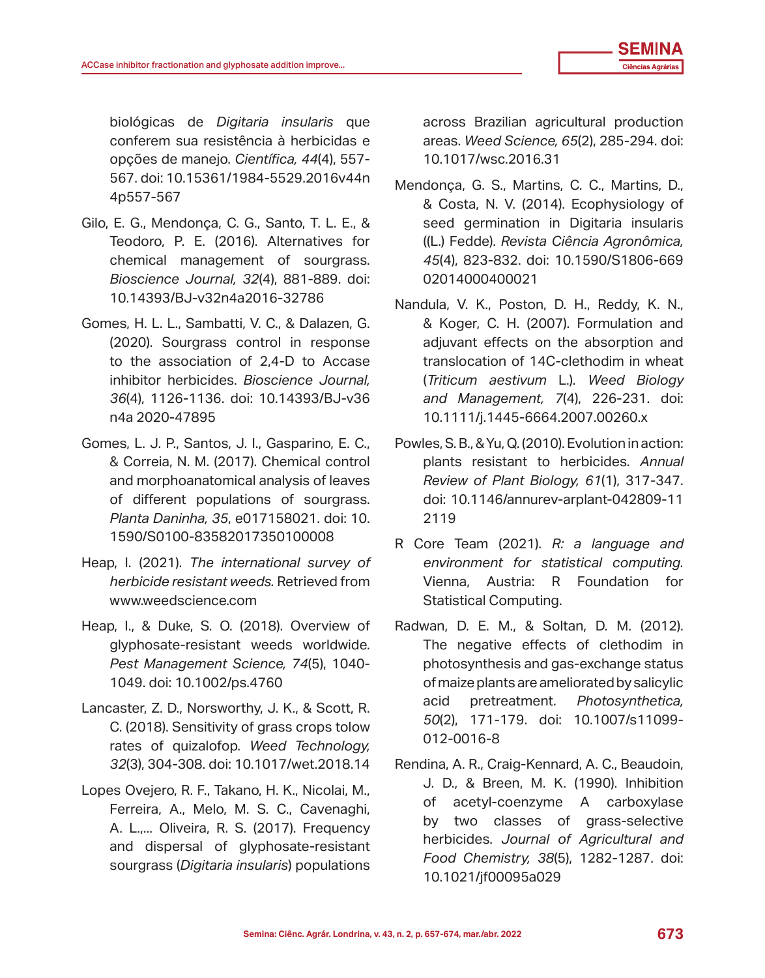biológicas de *Digitaria insularis* que conferem sua resistência à herbicidas e opções de manejo. *Científica, 44*(4), 557- 567. doi: 10.15361/1984-5529.2016v44n 4p557-567

- Gilo, E. G., Mendonça, C. G., Santo, T. L. E., & Teodoro, P. E. (2016). Alternatives for chemical management of sourgrass. *Bioscience Journal, 32*(4), 881-889. doi: 10.14393/BJ-v32n4a2016-32786
- Gomes, H. L. L., Sambatti, V. C., & Dalazen, G. (2020). Sourgrass control in response to the association of 2,4-D to Accase inhibitor herbicides. *Bioscience Journal, 36*(4), 1126-1136. doi: 10.14393/BJ-v36 n4a 2020-47895
- Gomes, L. J. P., Santos, J. I., Gasparino, E. C., & Correia, N. M. (2017). Chemical control and morphoanatomical analysis of leaves of different populations of sourgrass. *Planta Daninha, 35*, e017158021. doi: 10. 1590/S0100-83582017350100008
- Heap, I. (2021). *The international survey of herbicide resistant weeds.* Retrieved from www.weedscience.com
- Heap, I., & Duke, S. O. (2018). Overview of glyphosate-resistant weeds worldwide. *Pest Management Science, 74*(5), 1040- 1049. doi: 10.1002/ps.4760
- Lancaster, Z. D., Norsworthy, J. K., & Scott, R. C. (2018). Sensitivity of grass crops tolow rates of quizalofop. *Weed Technology, 32*(3), 304-308. doi: 10.1017/wet.2018.14
- Lopes Ovejero, R. F., Takano, H. K., Nicolai, M., Ferreira, A., Melo, M. S. C., Cavenaghi, A. L.,... Oliveira, R. S. (2017). Frequency and dispersal of glyphosate-resistant sourgrass (*Digitaria insularis*) populations

across Brazilian agricultural production areas. *Weed Science, 65*(2), 285-294. doi: 10.1017/wsc.2016.31

- Mendonça, G. S., Martins, C. C., Martins, D., & Costa, N. V. (2014). Ecophysiology of seed germination in Digitaria insularis ((L.) Fedde). *Revista Ciência Agronômica, 45*(4), 823-832. doi: 10.1590/S1806-669 02014000400021
- Nandula, V. K., Poston, D. H., Reddy, K. N., & Koger, C. H. (2007). Formulation and adjuvant effects on the absorption and translocation of 14C-clethodim in wheat (*Triticum aestivum* L.). *Weed Biology and Management, 7*(4), 226-231. doi: 10.1111/j.1445-6664.2007.00260.x
- Powles, S. B., & Yu, Q. (2010). Evolution in action: plants resistant to herbicides. *Annual Review of Plant Biology, 61*(1), 317-347. doi: 10.1146/annurev-arplant-042809-11 2119
- R Core Team (2021). *R: a language and environment for statistical computing.*  Vienna, Austria: R Foundation for Statistical Computing.
- Radwan, D. E. M., & Soltan, D. M. (2012). The negative effects of clethodim in photosynthesis and gas-exchange status of maize plants are ameliorated by salicylic acid pretreatment. *Photosynthetica, 50*(2), 171-179. doi: 10.1007/s11099- 012-0016-8
- Rendina, A. R., Craig-Kennard, A. C., Beaudoin, J. D., & Breen, M. K. (1990). Inhibition of acetyl-coenzyme A carboxylase by two classes of grass-selective herbicides. *Journal of Agricultural and Food Chemistry, 38*(5), 1282-1287. doi: 10.1021/jf00095a029